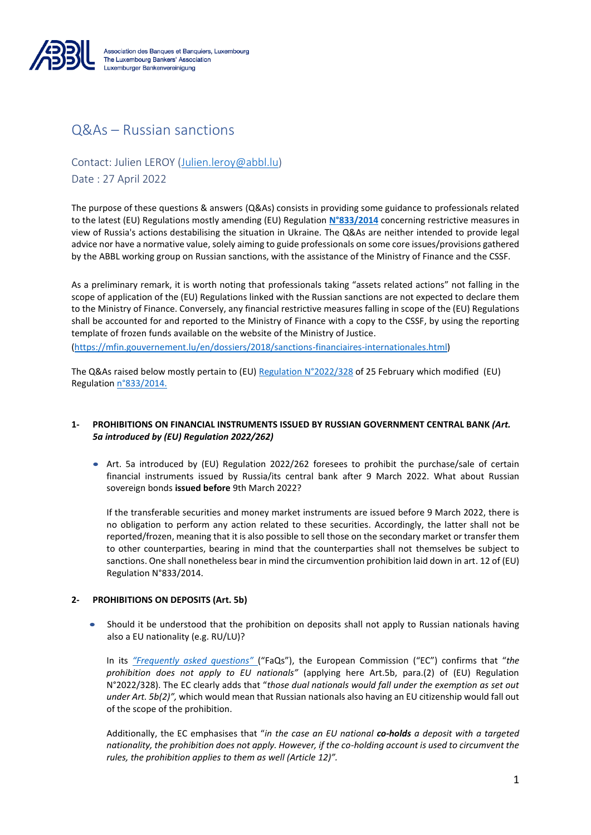

# Q&As – Russian sanctions

Contact: Julien LEROY [\(Julien.leroy@abbl.lu\)](mailto:Julien.leroy@abbl.lu)

Date : 27 April 2022

The purpose of these questions & answers (Q&As) consists in providing some guidance to professionals related to the latest (EU) Regulations mostly amending (EU) Regulation **[N°833/2014](https://eur-lex.europa.eu/legal-content/EN/TXT/?uri=CELEX%3A02014R0833-20190709)** concerning restrictive measures in view of Russia's actions destabilising the situation in Ukraine. The Q&As are neither intended to provide legal advice nor have a normative value, solely aiming to guide professionals on some core issues/provisions gathered by the ABBL working group on Russian sanctions, with the assistance of the Ministry of Finance and the CSSF.

As a preliminary remark, it is worth noting that professionals taking "assets related actions" not falling in the scope of application of the (EU) Regulations linked with the Russian sanctions are not expected to declare them to the Ministry of Finance. Conversely, any financial restrictive measures falling in scope of the (EU) Regulations shall be accounted for and reported to the Ministry of Finance with a copy to the CSSF, by using the reporting template of frozen funds available on the website of the Ministry of Justice.

[\(https://mfin.gouvernement.lu/en/dossiers/2018/sanctions-financiaires-internationales.html\)](https://mfin.gouvernement.lu/en/dossiers/2018/sanctions-financiaires-internationales.html)

The Q&As raised below mostly pertain to (EU) [Regulation N°2022/328](https://eur-lex.europa.eu/legal-content/EN/TXT/PDF/?uri=CELEX:32022R0328&from=EN) of 25 February which modified (EU) Regulation [n°833/2014.](https://eur-lex.europa.eu/legal-content/EN/TXT/?uri=CELEX%3A02014R0833-20190709)

# **1- PROHIBITIONS ON FINANCIAL INSTRUMENTS ISSUED BY RUSSIAN GOVERNMENT CENTRAL BANK** *(Art. 5a introduced by (EU) Regulation 2022/262)*

• Art. 5a introduced by (EU) Regulation 2022/262 foresees to prohibit the purchase/sale of certain financial instruments issued by Russia/its central bank after 9 March 2022. What about Russian sovereign bonds **issued before** 9th March 2022?

If the transferable securities and money market instruments are issued before 9 March 2022, there is no obligation to perform any action related to these securities. Accordingly, the latter shall not be reported/frozen, meaning that it is also possible to sell those on the secondary market or transfer them to other counterparties, bearing in mind that the counterparties shall not themselves be subject to sanctions. One shall nonetheless bear in mind the circumvention prohibition laid down in art. 12 of (EU) Regulation N°833/2014.

### **2- PROHIBITIONS ON DEPOSITS (Art. 5b)**

• Should it be understood that the prohibition on deposits shall not apply to Russian nationals having also a EU nationality (e.g. RU/LU)?

In its *["Frequently asked questions"](https://ec.europa.eu/info/business-economy-euro/banking-and-finance/international-relations/restrictive-measures-sanctions/sanctions-adopted-following-russias-military-aggression-against-ukraine_en)* ("FaQs"), the European Commission ("EC") confirms that "*the prohibition does not apply to EU nationals"* (applying here Art.5b, para.(2) of (EU) Regulation N°2022/328). The EC clearly adds that "*those dual nationals would fall under the exemption as set out under Art. 5b(2)",* which would mean that Russian nationals also having an EU citizenship would fall out of the scope of the prohibition.

Additionally, the EC emphasises that "*in the case an EU national co-holds a deposit with a targeted nationality, the prohibition does not apply. However, if the co-holding account is used to circumvent the rules, the prohibition applies to them as well (Article 12)".*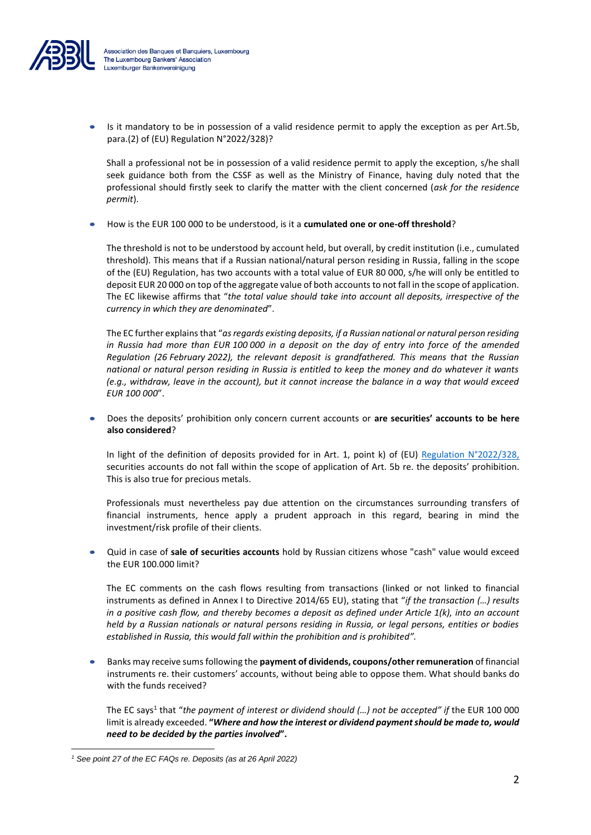

Is it mandatory to be in possession of a valid residence permit to apply the exception as per Art.5b, para.(2) of (EU) Regulation N°2022/328)?

Shall a professional not be in possession of a valid residence permit to apply the exception, s/he shall seek guidance both from the CSSF as well as the Ministry of Finance, having duly noted that the professional should firstly seek to clarify the matter with the client concerned (*ask for the residence permit*).

• How is the EUR 100 000 to be understood, is it a **cumulated one or one-off threshold**?

The threshold is not to be understood by account held, but overall, by credit institution (i.e., cumulated threshold). This means that if a Russian national/natural person residing in Russia, falling in the scope of the (EU) Regulation, has two accounts with a total value of EUR 80 000, s/he will only be entitled to deposit EUR 20 000 on top of the aggregate value of both accounts to not fall in the scope of application. The EC likewise affirms that "*the total value should take into account all deposits, irrespective of the currency in which they are denominated*".

The EC further explains that "*as regards existing deposits, if a Russian national or natural person residing in Russia had more than EUR 100 000 in a deposit on the day of entry into force of the amended Regulation (26 February 2022), the relevant deposit is grandfathered. This means that the Russian national or natural person residing in Russia is entitled to keep the money and do whatever it wants (e.g., withdraw, leave in the account), but it cannot increase the balance in a way that would exceed EUR 100 000*".

• Does the deposits' prohibition only concern current accounts or **are securities' accounts to be here also considered**?

In light of the definition of deposits provided for in Art. 1, point k) of (EU) Regulation  $N^{\circ}2022/328$ , securities accounts do not fall within the scope of application of Art. 5b re. the deposits' prohibition. This is also true for precious metals.

Professionals must nevertheless pay due attention on the circumstances surrounding transfers of financial instruments, hence apply a prudent approach in this regard, bearing in mind the investment/risk profile of their clients.

• Quid in case of **sale of securities accounts** hold by Russian citizens whose "cash" value would exceed the EUR 100.000 limit?

The EC comments on the cash flows resulting from transactions (linked or not linked to financial instruments as defined in Annex I to Directive 2014/65 EU), stating that "*if the transaction (…) results in a positive cash flow, and thereby becomes a deposit as defined under Article 1(k), into an account held by a Russian nationals or natural persons residing in Russia, or legal persons, entities or bodies established in Russia, this would fall within the prohibition and is prohibited".*

• Banks may receive sums following the **payment of dividends, coupons/other remuneration** of financial instruments re. their customers' accounts, without being able to oppose them. What should banks do with the funds received?

The EC says<sup>1</sup> that "*the payment of interest or dividend should (…) not be accepted" if* the EUR 100 000 limit is already exceeded. **"***Where and how the interest or dividend payment should be made to, would need to be decided by the parties involved***".**

*<sup>1</sup> See point 27 of the EC FAQs re. Deposits (as at 26 April 2022)*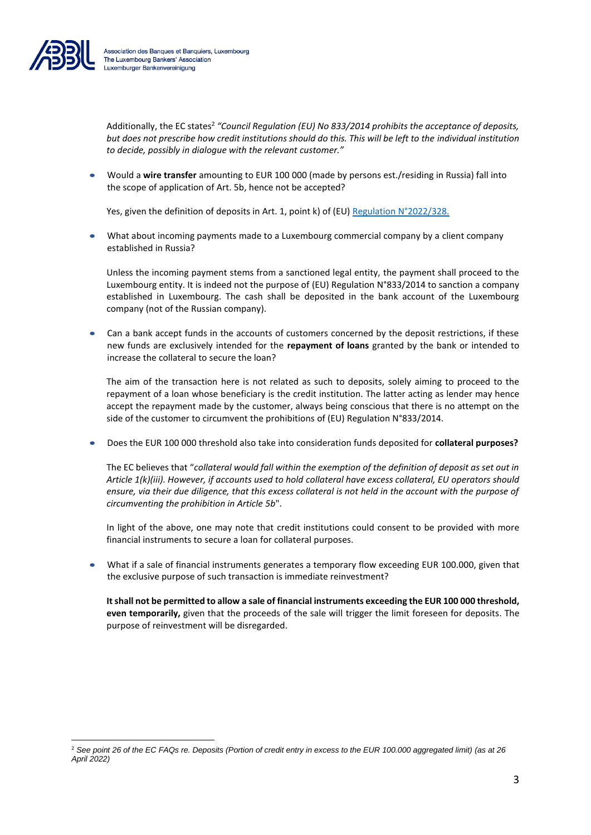

Additionally, the EC states<sup>2</sup> "Council Regulation (EU) No 833/2014 prohibits the acceptance of deposits, *but does not prescribe how credit institutions should do this. This will be left to the individual institution to decide, possibly in dialogue with the relevant customer."*

• Would a **wire transfer** amounting to EUR 100 000 (made by persons est./residing in Russia) fall into the scope of application of Art. 5b, hence not be accepted?

Yes, given the definition of deposits in Art. 1, point k) of (EU) [Regulation N°2022/328.](https://eur-lex.europa.eu/legal-content/EN/TXT/PDF/?uri=CELEX:32022R0328&from=EN)

• What about incoming payments made to a Luxembourg commercial company by a client company established in Russia?

Unless the incoming payment stems from a sanctioned legal entity, the payment shall proceed to the Luxembourg entity. It is indeed not the purpose of (EU) Regulation N°833/2014 to sanction a company established in Luxembourg. The cash shall be deposited in the bank account of the Luxembourg company (not of the Russian company).

• Can a bank accept funds in the accounts of customers concerned by the deposit restrictions, if these new funds are exclusively intended for the **repayment of loans** granted by the bank or intended to increase the collateral to secure the loan?

The aim of the transaction here is not related as such to deposits, solely aiming to proceed to the repayment of a loan whose beneficiary is the credit institution. The latter acting as lender may hence accept the repayment made by the customer, always being conscious that there is no attempt on the side of the customer to circumvent the prohibitions of (EU) Regulation N°833/2014.

• Does the EUR 100 000 threshold also take into consideration funds deposited for **collateral purposes?**

The EC believes that "*collateral would fall within the exemption of the definition of deposit as set out in Article 1(k)(iii). However, if accounts used to hold collateral have excess collateral, EU operators should ensure, via their due diligence, that this excess collateral is not held in the account with the purpose of circumventing the prohibition in Article 5b*".

In light of the above, one may note that credit institutions could consent to be provided with more financial instruments to secure a loan for collateral purposes.

• What if a sale of financial instruments generates a temporary flow exceeding EUR 100.000, given that the exclusive purpose of such transaction is immediate reinvestment?

**It shall not be permitted to allow a sale of financial instruments exceeding the EUR 100 000 threshold, even temporarily,** given that the proceeds of the sale will trigger the limit foreseen for deposits. The purpose of reinvestment will be disregarded.

<sup>2</sup> *See point 26 of the EC FAQs re. Deposits (Portion of credit entry in excess to the EUR 100.000 aggregated limit) (as at 26 April 2022)*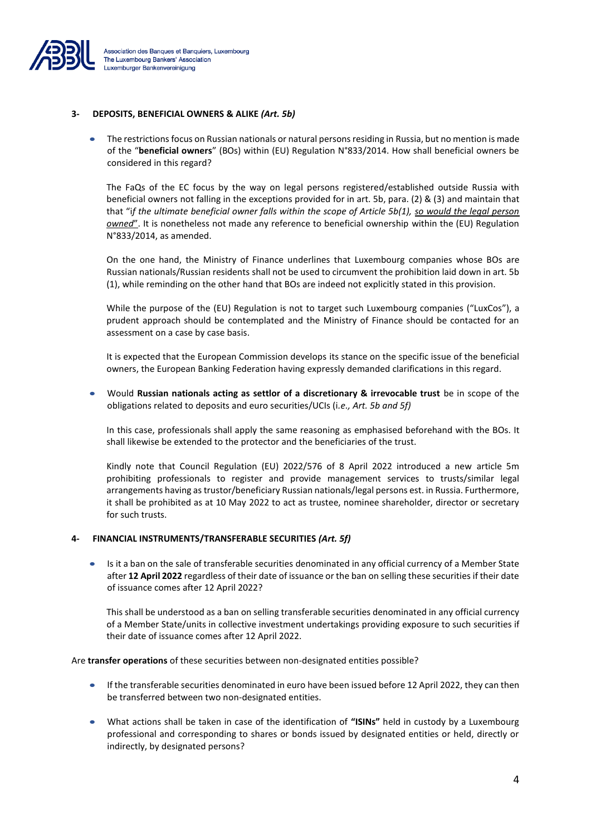

#### **3- DEPOSITS, BENEFICIAL OWNERS & ALIKE** *(Art. 5b)*

The restrictions focus on Russian nationals or natural persons residing in Russia, but no mention is made of the "**beneficial owners**" (BOs) within (EU) Regulation N°833/2014. How shall beneficial owners be considered in this regard?

The FaQs of the EC focus by the way on legal persons registered/established outside Russia with beneficial owners not falling in the exceptions provided for in art. 5b, para. (2) & (3) and maintain that that "i*f the ultimate beneficial owner falls within the scope of Article 5b(1), so would the legal person owned*". It is nonetheless not made any reference to beneficial ownership within the (EU) Regulation N°833/2014, as amended.

On the one hand, the Ministry of Finance underlines that Luxembourg companies whose BOs are Russian nationals/Russian residents shall not be used to circumvent the prohibition laid down in art. 5b (1), while reminding on the other hand that BOs are indeed not explicitly stated in this provision.

While the purpose of the (EU) Regulation is not to target such Luxembourg companies ("LuxCos"), a prudent approach should be contemplated and the Ministry of Finance should be contacted for an assessment on a case by case basis.

It is expected that the European Commission develops its stance on the specific issue of the beneficial owners, the European Banking Federation having expressly demanded clarifications in this regard.

• Would **Russian nationals acting as settlor of a discretionary & irrevocable trust** be in scope of the obligations related to deposits and euro securities/UCIs (i*.e., Art. 5b and 5f)*

In this case, professionals shall apply the same reasoning as emphasised beforehand with the BOs. It shall likewise be extended to the protector and the beneficiaries of the trust.

Kindly note that Council Regulation (EU) 2022/576 of 8 April 2022 introduced a new article 5m prohibiting professionals to register and provide management services to trusts/similar legal arrangements having as trustor/beneficiary Russian nationals/legal persons est. in Russia. Furthermore, it shall be prohibited as at 10 May 2022 to act as trustee, nominee shareholder, director or secretary for such trusts.

#### **4- FINANCIAL INSTRUMENTS/TRANSFERABLE SECURITIES** *(Art. 5f)*

• Is it a ban on the sale of transferable securities denominated in any official currency of a Member State after **12 April 2022** regardless of their date of issuance or the ban on selling these securities if their date of issuance comes after 12 April 2022?

This shall be understood as a ban on selling transferable securities denominated in any official currency of a Member State/units in collective investment undertakings providing exposure to such securities if their date of issuance comes after 12 April 2022.

Are **transfer operations** of these securities between non-designated entities possible?

- If the transferable securities denominated in euro have been issued before 12 April 2022, they can then be transferred between two non-designated entities.
- What actions shall be taken in case of the identification of **"ISINs"** held in custody by a Luxembourg professional and corresponding to shares or bonds issued by designated entities or held, directly or indirectly, by designated persons?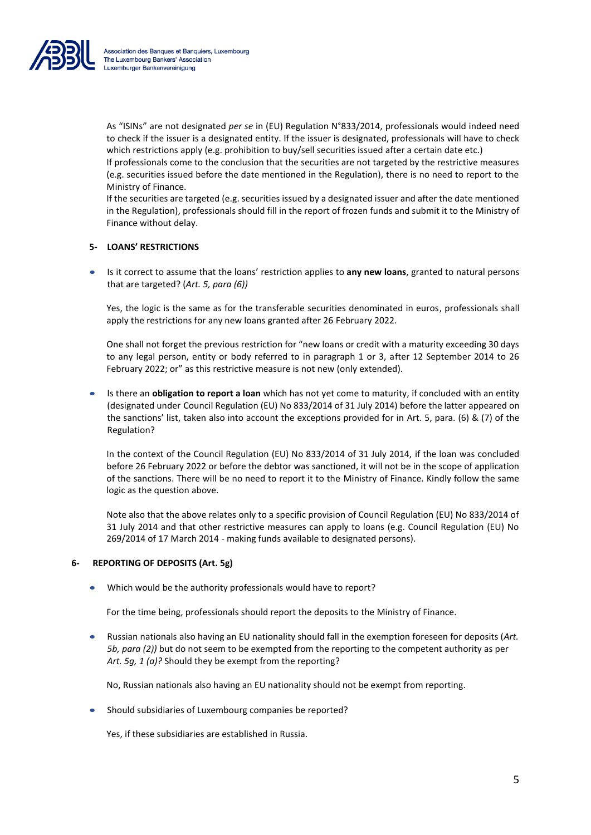

As "ISINs" are not designated *per se* in (EU) Regulation N°833/2014, professionals would indeed need to check if the issuer is a designated entity. If the issuer is designated, professionals will have to check which restrictions apply (e.g. prohibition to buy/sell securities issued after a certain date etc.)

If professionals come to the conclusion that the securities are not targeted by the restrictive measures (e.g. securities issued before the date mentioned in the Regulation), there is no need to report to the Ministry of Finance.

If the securities are targeted (e.g. securities issued by a designated issuer and after the date mentioned in the Regulation), professionals should fill in the report of frozen funds and submit it to the Ministry of Finance without delay.

### **5- LOANS' RESTRICTIONS**

• Is it correct to assume that the loans' restriction applies to **any new loans**, granted to natural persons that are targeted? (*Art. 5, para (6))*

Yes, the logic is the same as for the transferable securities denominated in euros, professionals shall apply the restrictions for any new loans granted after 26 February 2022.

One shall not forget the previous restriction for "new loans or credit with a maturity exceeding 30 days to any legal person, entity or body referred to in paragraph 1 or 3, after 12 September 2014 to 26 February 2022; or" as this restrictive measure is not new (only extended).

• Is there an **obligation to report a loan** which has not yet come to maturity, if concluded with an entity (designated under Council Regulation (EU) No 833/2014 of 31 July 2014) before the latter appeared on the sanctions' list, taken also into account the exceptions provided for in Art. 5, para. (6) & (7) of the Regulation?

In the context of the Council Regulation (EU) No 833/2014 of 31 July 2014, if the loan was concluded before 26 February 2022 or before the debtor was sanctioned, it will not be in the scope of application of the sanctions. There will be no need to report it to the Ministry of Finance. Kindly follow the same logic as the question above.

Note also that the above relates only to a specific provision of Council Regulation (EU) No 833/2014 of 31 July 2014 and that other restrictive measures can apply to loans (e.g. Council Regulation (EU) No 269/2014 of 17 March 2014 - making funds available to designated persons).

### **6- REPORTING OF DEPOSITS (Art. 5g)**

• Which would be the authority professionals would have to report?

For the time being, professionals should report the deposits to the Ministry of Finance.

• Russian nationals also having an EU nationality should fall in the exemption foreseen for deposits (*Art. 5b, para (2))* but do not seem to be exempted from the reporting to the competent authority as per *Art. 5g, 1 (a)?* Should they be exempt from the reporting?

No, Russian nationals also having an EU nationality should not be exempt from reporting.

• Should subsidiaries of Luxembourg companies be reported?

Yes, if these subsidiaries are established in Russia.